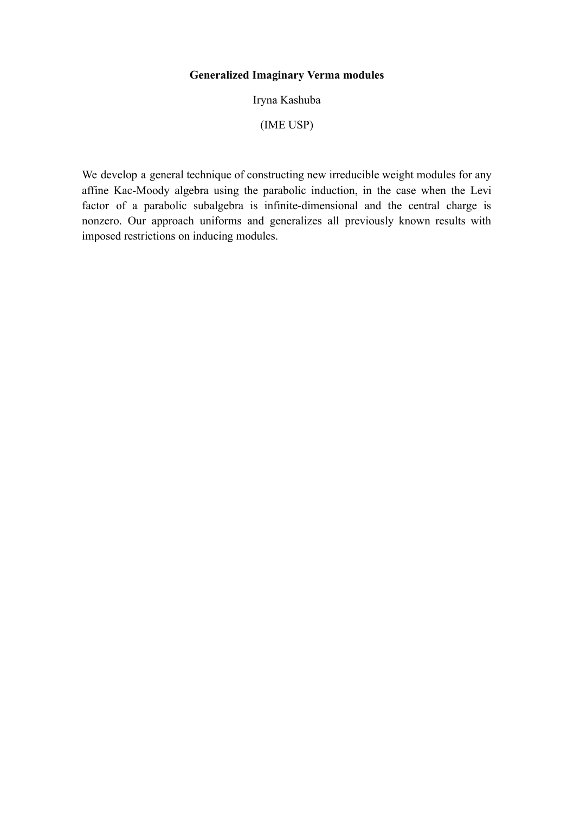# **Generalized Imaginary Verma modules**

Iryna Kashuba

(IME USP)

We develop a general technique of constructing new irreducible weight modules for any affine Kac-Moody algebra using the parabolic induction, in the case when the Levi factor of a parabolic subalgebra is infinite-dimensional and the central charge is nonzero. Our approach uniforms and generalizes all previously known results with imposed restrictions on inducing modules.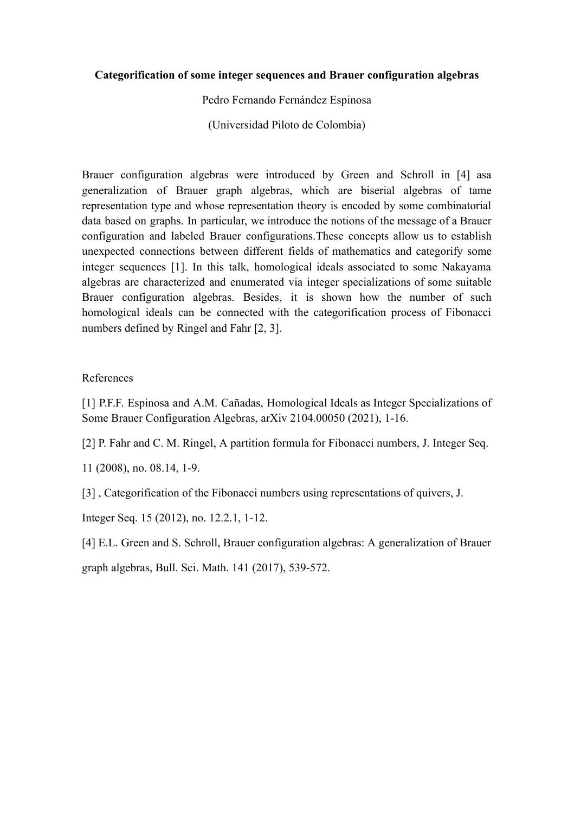## **Categorification of some integer sequences and Brauer configuration algebras**

Pedro Fernando Fernández Espinosa

(Universidad Piloto de Colombia)

Brauer configuration algebras were introduced by Green and Schroll in [4] asa generalization of Brauer graph algebras, which are biserial algebras of tame representation type and whose representation theory is encoded by some combinatorial data based on graphs. In particular, we introduce the notions of the message of a Brauer configuration and labeled Brauer configurations.These concepts allow us to establish unexpected connections between different fields of mathematics and categorify some integer sequences [1]. In this talk, homological ideals associated to some Nakayama algebras are characterized and enumerated via integer specializations of some suitable Brauer configuration algebras. Besides, it is shown how the number of such homological ideals can be connected with the categorification process of Fibonacci numbers defined by Ringel and Fahr [2, 3].

## References

[1] P.F.F. Espinosa and A.M. Cañadas, Homological Ideals as Integer Specializations of Some Brauer Configuration Algebras, arXiv 2104.00050 (2021), 1-16.

[2] P. Fahr and C. M. Ringel, A partition formula for Fibonacci numbers, J. Integer Seq.

11 (2008), no. 08.14, 1-9.

[3] , Categorification of the Fibonacci numbers using representations of quivers, J.

Integer Seq. 15 (2012), no. 12.2.1, 1-12.

[4] E.L. Green and S. Schroll, Brauer configuration algebras: A generalization of Brauer graph algebras, Bull. Sci. Math. 141 (2017), 539-572.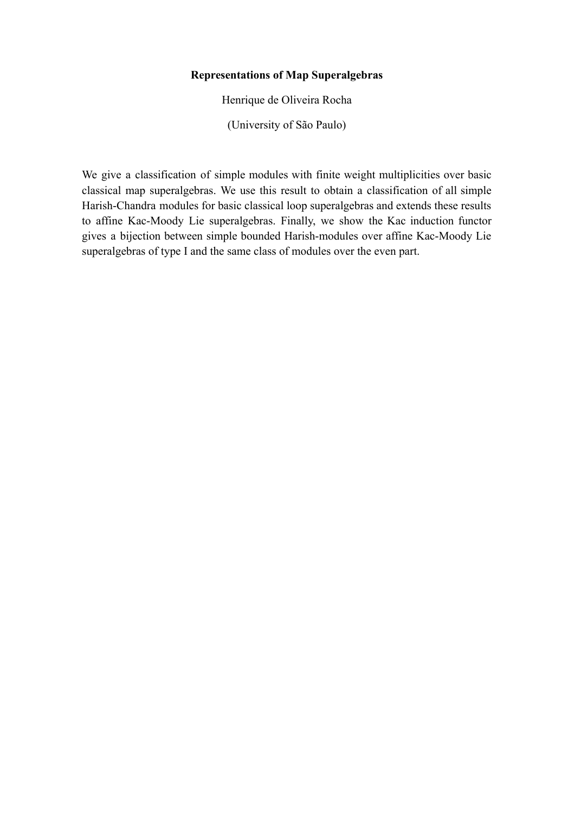## **Representations of Map Superalgebras**

Henrique de Oliveira Rocha

(University of São Paulo)

We give a classification of simple modules with finite weight multiplicities over basic classical map superalgebras. We use this result to obtain a classification of all simple Harish-Chandra modules for basic classical loop superalgebras and extends these results to affine Kac-Moody Lie superalgebras. Finally, we show the Kac induction functor gives a bijection between simple bounded Harish-modules over affine Kac-Moody Lie superalgebras of type I and the same class of modules over the even part.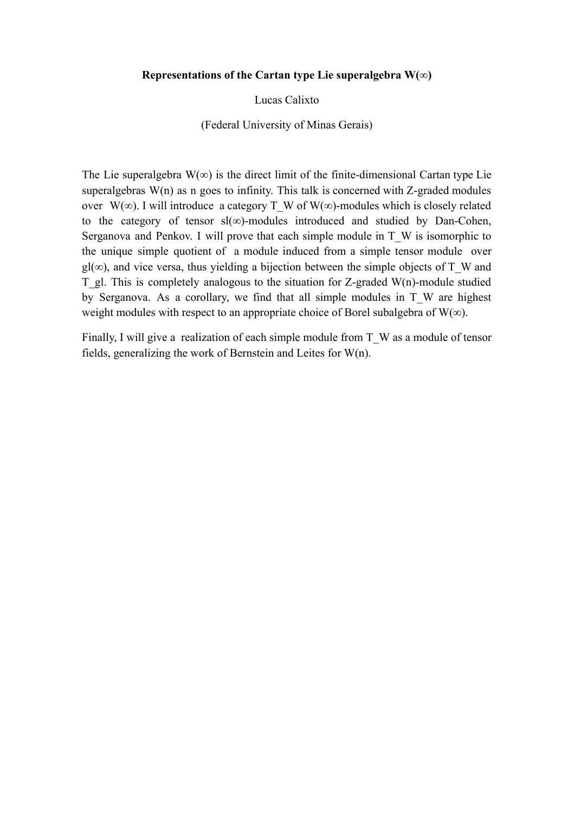#### **Representations of the Cartan type Lie superalgebra W(∞)**

Lucas Calixto

(Federal University of Minas Gerais)

The Lie superalgebra  $W(\infty)$  is the direct limit of the finite-dimensional Cartan type Lie superalgebras  $W(n)$  as n goes to infinity. This talk is concerned with Z-graded modules over W(∞). I will introduce a category T\_W of W(∞)-modules which is closely related to the category of tensor sl(∞)-modules introduced and studied by Dan-Cohen, Serganova and Penkov. I will prove that each simple module in T\_W is isomorphic to the unique simple quotient of a module induced from a simple tensor module over  $gl(\infty)$ , and vice versa, thus yielding a bijection between the simple objects of T\_W and T\_gl. This is completely analogous to the situation for Z-graded W(n)-module studied by Serganova. As a corollary, we find that all simple modules in T\_W are highest weight modules with respect to an appropriate choice of Borel subalgebra of W( $\infty$ ).

Finally, I will give a realization of each simple module from T\_W as a module of tensor fields, generalizing the work of Bernstein and Leites for W(n).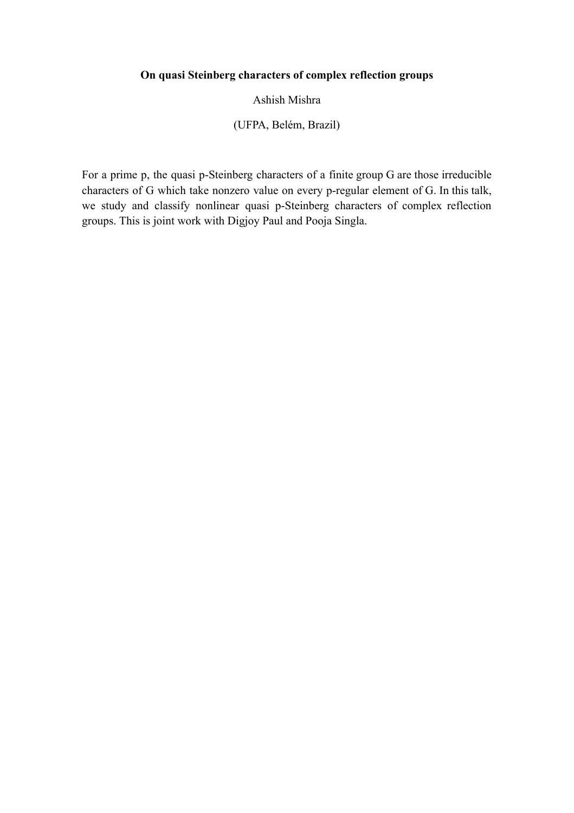# **On quasi Steinberg characters of complex reflection groups**

Ashish Mishra

(UFPA, Belém, Brazil)

For a prime p, the quasi p-Steinberg characters of a finite group G are those irreducible characters of G which take nonzero value on every p-regular element of G. In this talk, we study and classify nonlinear quasi p-Steinberg characters of complex reflection groups. This is joint work with Digjoy Paul and Pooja Singla.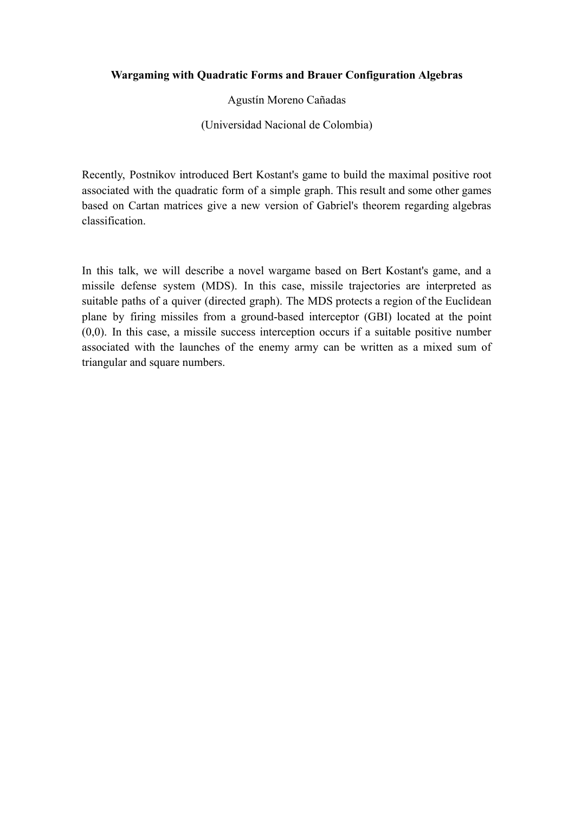## **Wargaming with Quadratic Forms and Brauer Configuration Algebras**

Agustín Moreno Cañadas

(Universidad Nacional de Colombia)

Recently, Postnikov introduced Bert Kostant's game to build the maximal positive root associated with the quadratic form of a simple graph. This result and some other games based on Cartan matrices give a new version of Gabriel's theorem regarding algebras classification.

In this talk, we will describe a novel wargame based on Bert Kostant's game, and a missile defense system (MDS). In this case, missile trajectories are interpreted as suitable paths of a quiver (directed graph). The MDS protects a region of the Euclidean plane by firing missiles from a ground-based interceptor (GBI) located at the point  $(0,0)$ . In this case, a missile success interception occurs if a suitable positive number associated with the launches of the enemy army can be written as a mixed sum of triangular and square numbers.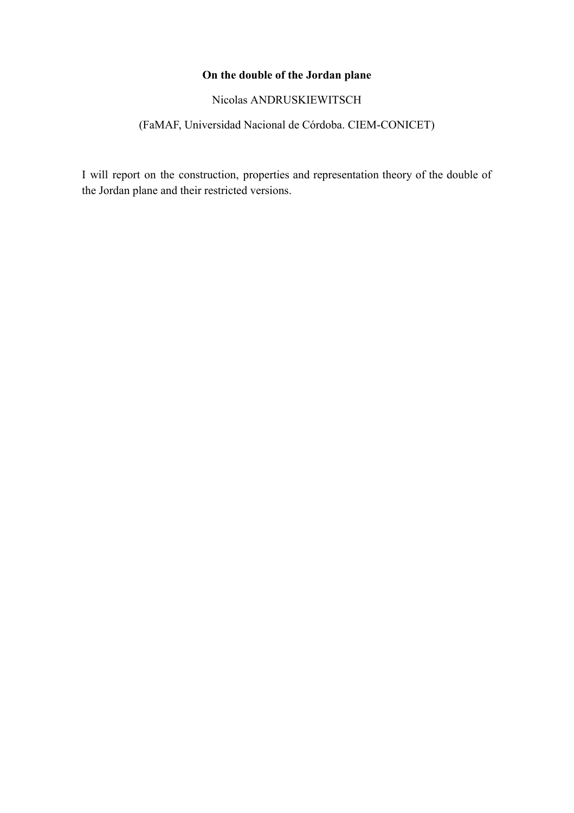# **On the double of the Jordan plane**

Nicolas ANDRUSKIEWITSCH

# (FaMAF, Universidad Nacional de Córdoba. CIEM-CONICET)

I will report on the construction, properties and representation theory of the double of the Jordan plane and their restricted versions.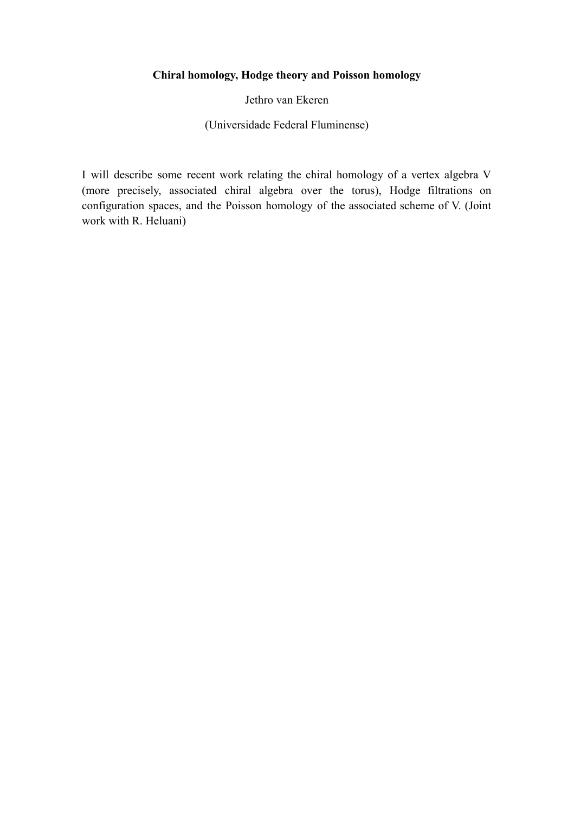# **Chiral homology, Hodge theory and Poisson homology**

Jethro van Ekeren

(Universidade Federal Fluminense)

I will describe some recent work relating the chiral homology of a vertex algebra V (more precisely, associated chiral algebra over the torus), Hodge filtrations on configuration spaces, and the Poisson homology of the associated scheme of V. (Joint work with R. Heluani)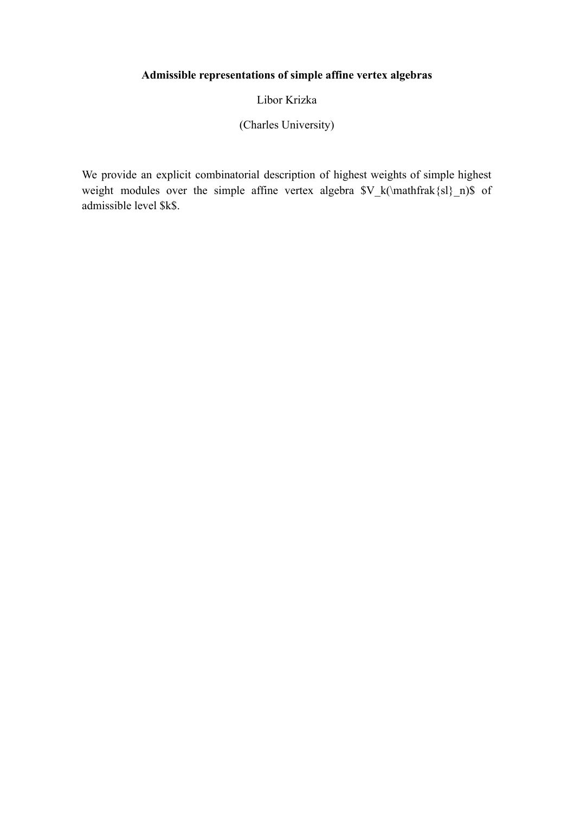# **Admissible representations of simple affine vertex algebras**

Libor Krizka

(Charles University)

We provide an explicit combinatorial description of highest weights of simple highest weight modules over the simple affine vertex algebra  $V_k(\mathfrak{sl}_n)$  of admissible level \$k\$.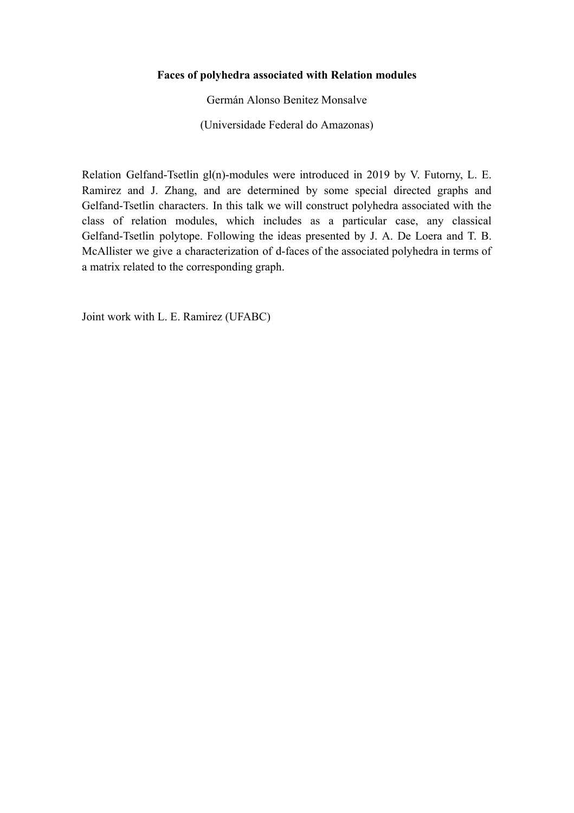## **Faces of polyhedra associated with Relation modules**

Germán Alonso Benitez Monsalve

(Universidade Federal do Amazonas)

Relation Gelfand-Tsetlin gl(n)-modules were introduced in 2019 by V. Futorny, L. E. Ramirez and J. Zhang, and are determined by some special directed graphs and Gelfand-Tsetlin characters. In this talk we will construct polyhedra associated with the class of relation modules, which includes as a particular case, any classical Gelfand-Tsetlin polytope. Following the ideas presented by J. A. De Loera and T. B. McAllister we give a characterization of d-faces of the associated polyhedra in terms of a matrix related to the corresponding graph.

Joint work with L. E. Ramirez (UFABC)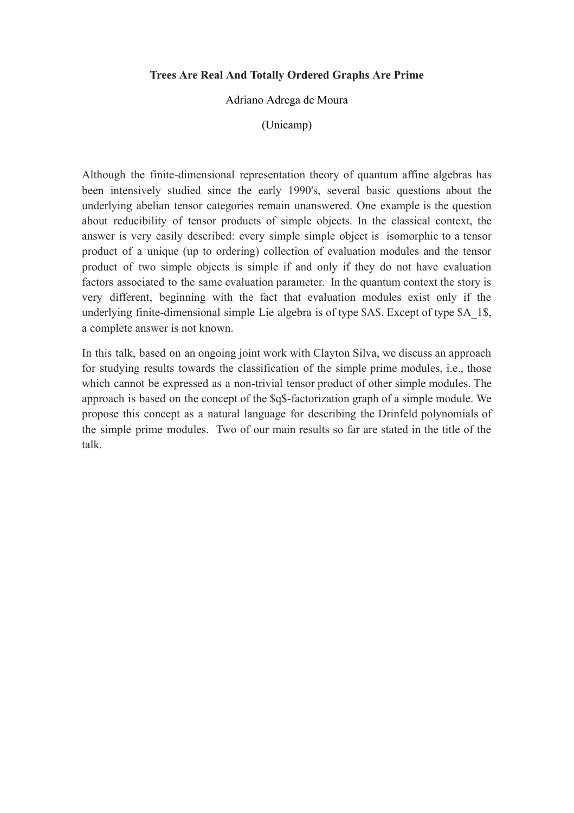## **Trees Are Real And Totally Ordered Graphs Are Prime**

#### Adriano Adrega de Moura

#### (Unicamp)

Although the finite-dimensional representation theory of quantum affine algebras has been intensively studied since the early 1990's, several basic questions about the underlying abelian tensor categories remain unanswered. One example is the question about reducibility of tensor products of simple objects. In the classical context, the answer is very easily described: every simple simple object is isomorphic to a tensor product of a unique (up to ordering) collection of evaluation modules and the tensor product of two simple objects is simple if and only if they do not have evaluation factors associated to the same evaluation parameter. In the quantum context the story is very different, beginning with the fact that evaluation modules exist only if the underlying finite-dimensional simple Lie algebra is of type \$A\$. Except of type \$A\_1\$, a complete answer is not known.

In this talk, based on an ongoing joint work with Clayton Silva, we discuss an approach for studying results towards the classification of the simple prime modules, i.e., those which cannot be expressed as a non-trivial tensor product of other simple modules. The approach is based on the concept of the \$q\$-factorization graph of a simple module. We propose this concept as a natural language for describing the Drinfeld polynomials of the simple prime modules. Two of our main results so far are stated in the title of the talk.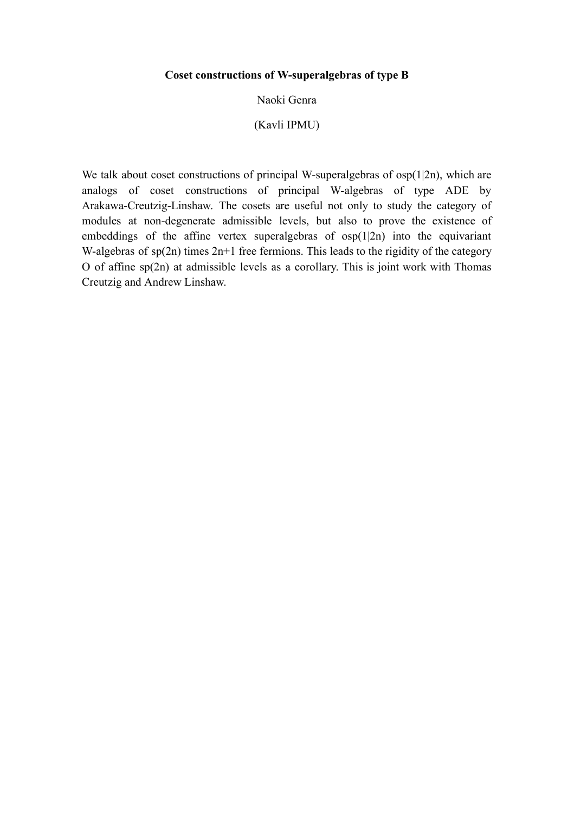#### **Coset constructions of W-superalgebras of type B**

#### Naoki Genra

## (Kavli IPMU)

We talk about coset constructions of principal W-superalgebras of osp(1|2n), which are analogs of coset constructions of principal W-algebras of type ADE by Arakawa-Creutzig-Linshaw. The cosets are useful not only to study the category of modules at non-degenerate admissible levels, but also to prove the existence of embeddings of the affine vertex superalgebras of  $osp(1|2n)$  into the equivariant W-algebras of  $sp(2n)$  times  $2n+1$  free fermions. This leads to the rigidity of the category O of affine sp(2n) at admissible levels as a corollary. This is joint work with Thomas Creutzig and Andrew Linshaw.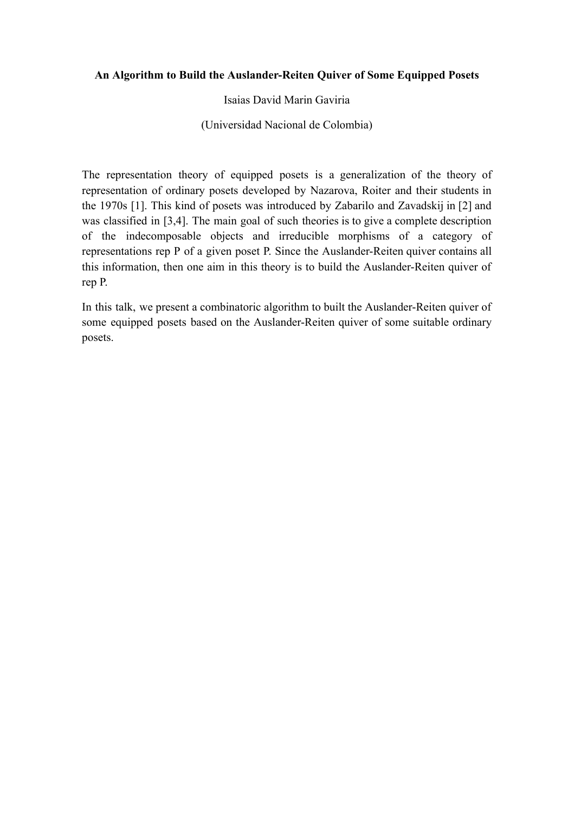## **An Algorithm to Build the Auslander-Reiten Quiver of Some Equipped Posets**

Isaias David Marin Gaviria

(Universidad Nacional de Colombia)

The representation theory of equipped posets is a generalization of the theory of representation of ordinary posets developed by Nazarova, Roiter and their students in the 1970s [1]. This kind of posets was introduced by Zabarilo and Zavadskij in [2] and was classified in [3,4]. The main goal of such theories is to give a complete description of the indecomposable objects and irreducible morphisms of a category of representations rep P of a given poset P. Since the Auslander-Reiten quiver contains all this information, then one aim in this theory is to build the Auslander-Reiten quiver of rep P.

In this talk, we present a combinatoric algorithm to built the Auslander-Reiten quiver of some equipped posets based on the Auslander-Reiten quiver of some suitable ordinary posets.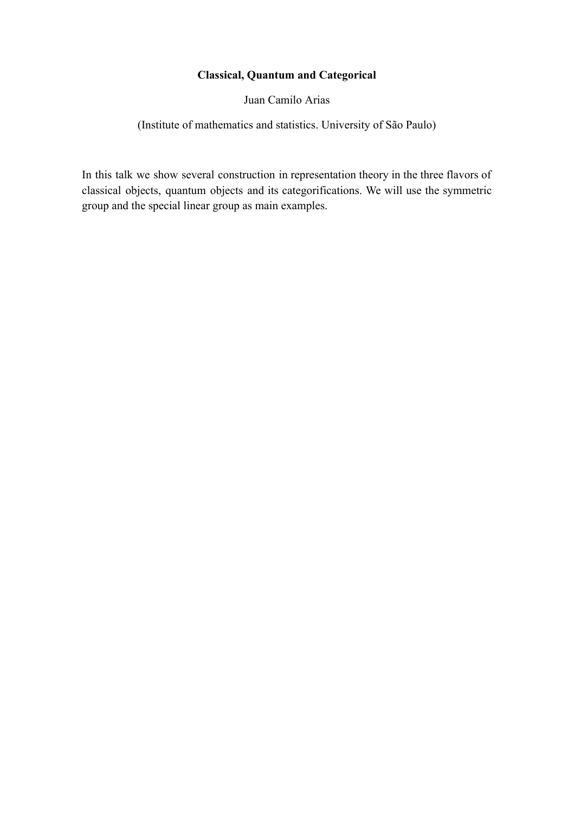# **Classical, Quantum and Categorical**

Juan Camilo Arias

(Institute of mathematics and statistics. University of São Paulo)

In this talk we show several construction in representation theory in the three flavors of classical objects, quantum objects and its categorifications. We will use the symmetric group and the special linear group as main examples.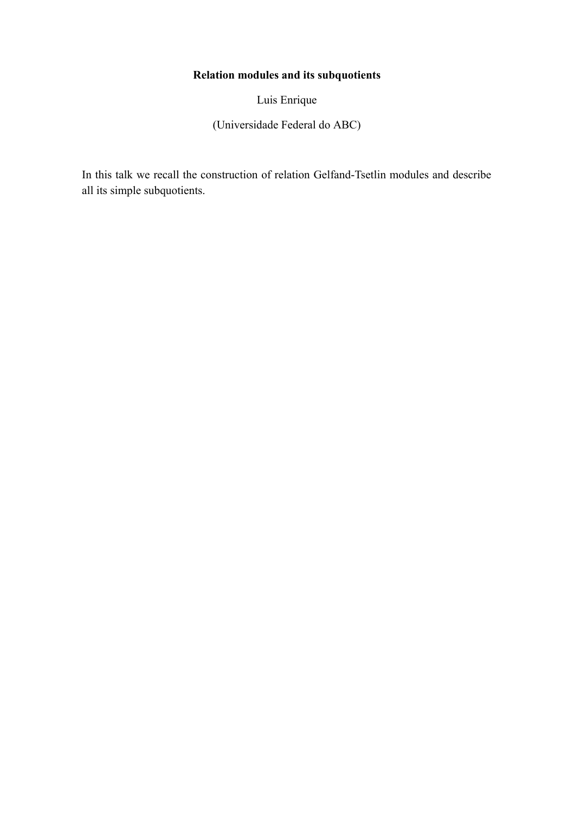# **Relation modules and its subquotients**

Luis Enrique

(Universidade Federal do ABC)

In this talk we recall the construction of relation Gelfand-Tsetlin modules and describe all its simple subquotients.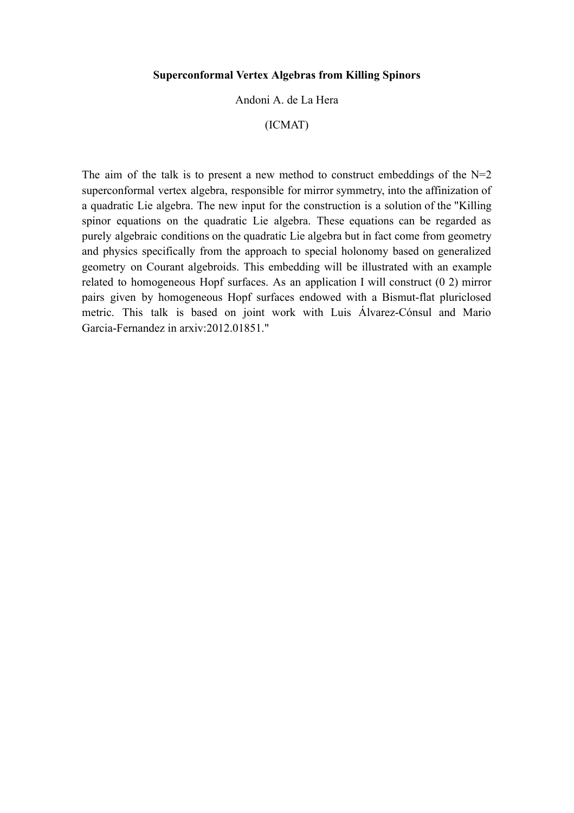#### **Superconformal Vertex Algebras from Killing Spinors**

#### Andoni A. de La Hera

## (ICMAT)

The aim of the talk is to present a new method to construct embeddings of the  $N=2$ superconformal vertex algebra, responsible for mirror symmetry, into the affinization of a quadratic Lie algebra. The new input for the construction is a solution of the "Killing spinor equations on the quadratic Lie algebra. These equations can be regarded as purely algebraic conditions on the quadratic Lie algebra but in fact come from geometry and physics specifically from the approach to special holonomy based on generalized geometry on Courant algebroids. This embedding will be illustrated with an example related to homogeneous Hopf surfaces. As an application I will construct (0 2) mirror pairs given by homogeneous Hopf surfaces endowed with a Bismut-flat pluriclosed metric. This talk is based on joint work with Luis Álvarez-Cónsul and Mario Garcia-Fernandez in arxiv:2012.01851."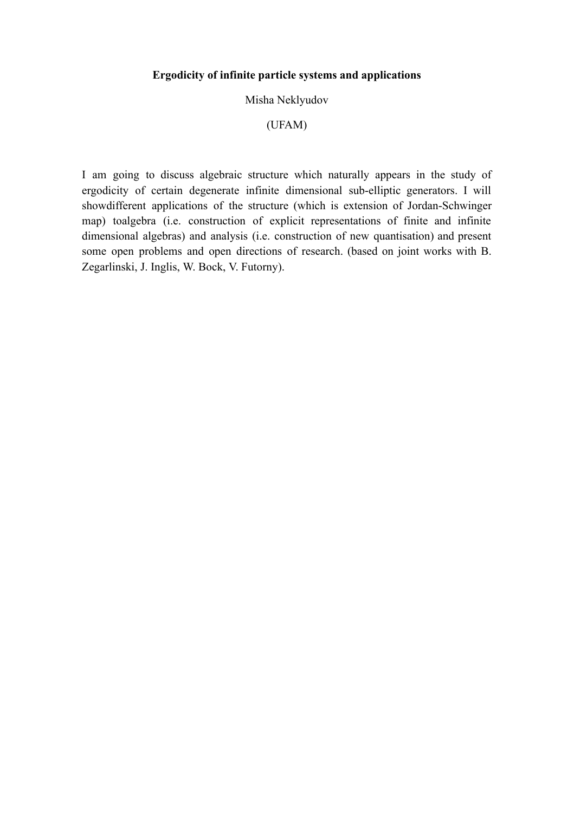## **Ergodicity of infinite particle systems and applications**

#### Misha Neklyudov

## (UFAM)

I am going to discuss algebraic structure which naturally appears in the study of ergodicity of certain degenerate infinite dimensional sub-elliptic generators. I will showdifferent applications of the structure (which is extension of Jordan-Schwinger map) toalgebra (i.e. construction of explicit representations of finite and infinite dimensional algebras) and analysis (i.e. construction of new quantisation) and present some open problems and open directions of research. (based on joint works with B. Zegarlinski, J. Inglis, W. Bock, V. Futorny).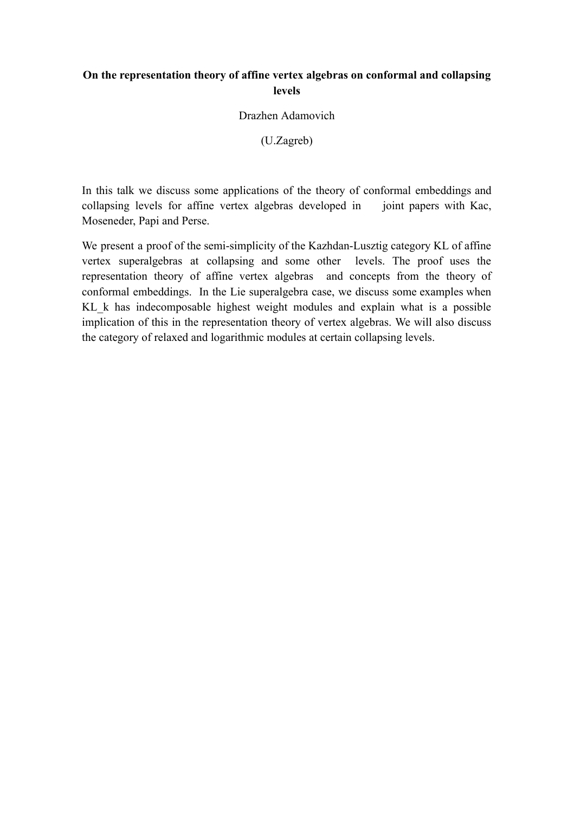## **On the representation theory of affine vertex algebras on conformal and collapsing levels**

Drazhen Adamovich

(U.Zagreb)

In this talk we discuss some applications of the theory of conformal embeddings and collapsing levels for affine vertex algebras developed in joint papers with Kac, Moseneder, Papi and Perse.

We present a proof of the semi-simplicity of the Kazhdan-Lusztig category KL of affine vertex superalgebras at collapsing and some other levels. The proof uses the representation theory of affine vertex algebras and concepts from the theory of conformal embeddings. In the Lie superalgebra case, we discuss some examples when KL\_k has indecomposable highest weight modules and explain what is a possible implication of this in the representation theory of vertex algebras. We will also discuss the category of relaxed and logarithmic modules at certain collapsing levels.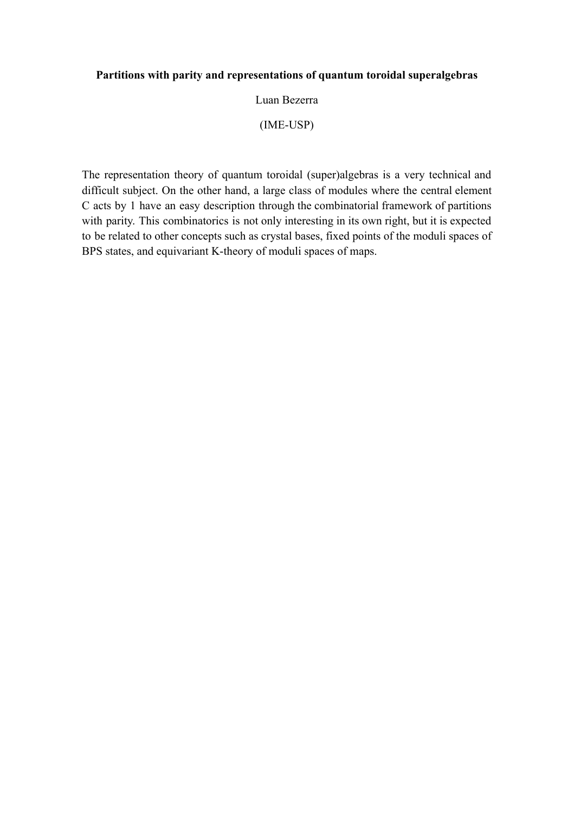## **Partitions with parity and representations of quantum toroidal superalgebras**

#### Luan Bezerra

## (IME-USP)

The representation theory of quantum toroidal (super)algebras is a very technical and difficult subject. On the other hand, a large class of modules where the central element C acts by 1 have an easy description through the combinatorial framework of partitions with parity. This combinatorics is not only interesting in its own right, but it is expected to be related to other concepts such as crystal bases, fixed points of the moduli spaces of BPS states, and equivariant K-theory of moduli spaces of maps.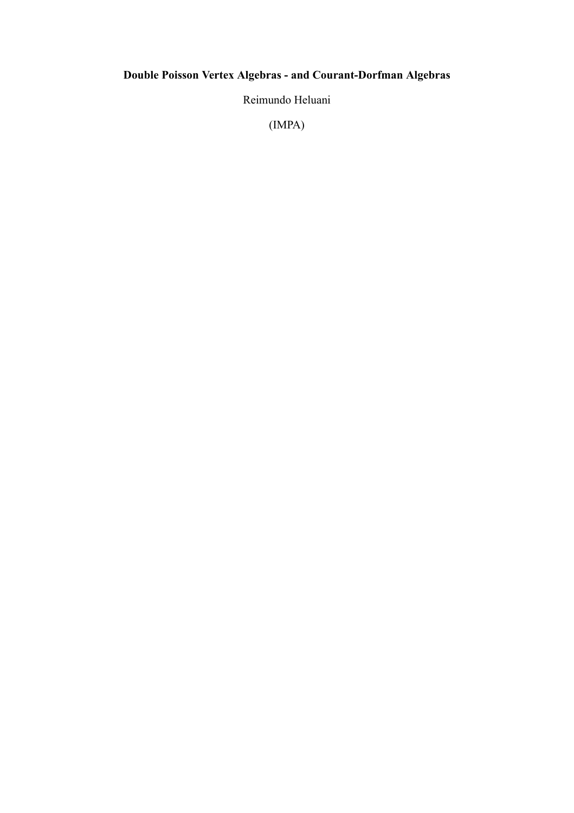# **Double Poisson Vertex Algebras - and Courant-Dorfman Algebras**

Reimundo Heluani

(IMPA)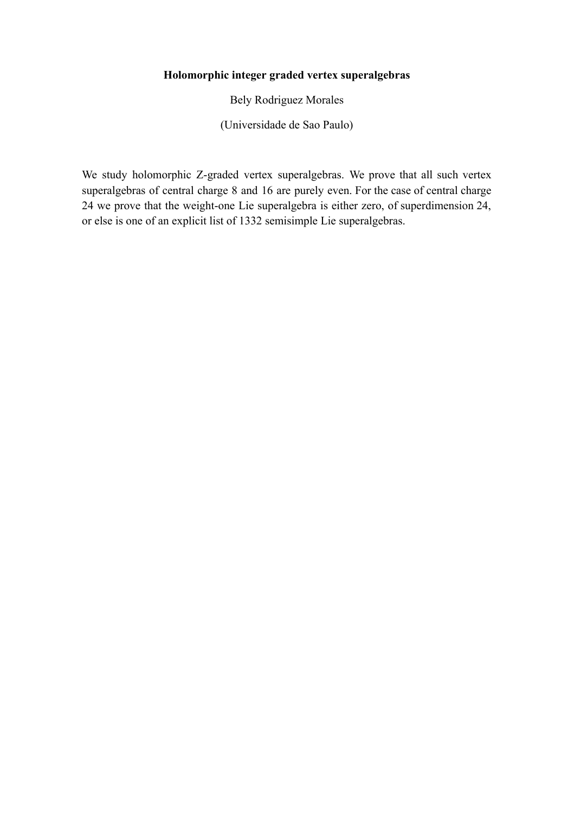# **Holomorphic integer graded vertex superalgebras**

Bely Rodriguez Morales

(Universidade de Sao Paulo)

We study holomorphic Z-graded vertex superalgebras. We prove that all such vertex superalgebras of central charge 8 and 16 are purely even. For the case of central charge 24 we prove that the weight-one Lie superalgebra is either zero, of superdimension 24, or else is one of an explicit list of 1332 semisimple Lie superalgebras.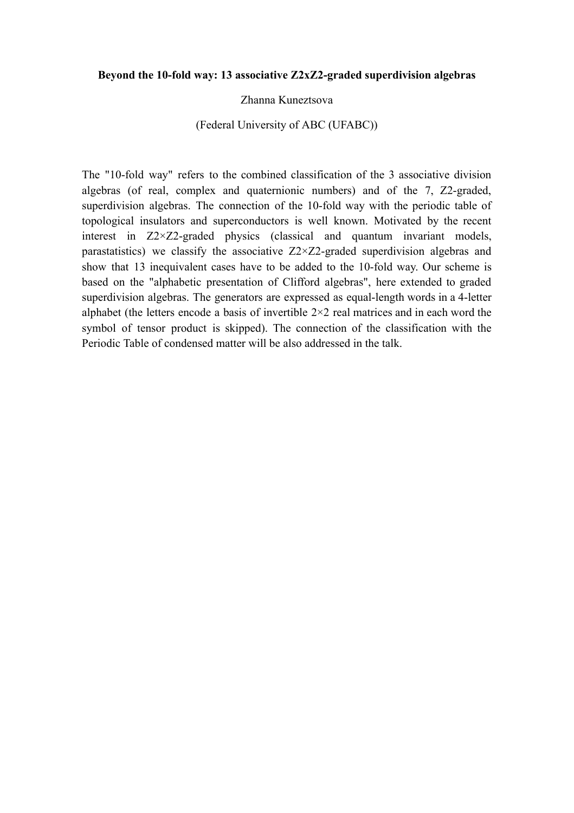#### **Beyond the 10-fold way: 13 associative Z2xZ2-graded superdivision algebras**

#### Zhanna Kuneztsova

#### (Federal University of ABC (UFABC))

The "10-fold way" refers to the combined classification of the 3 associative division algebras (of real, complex and quaternionic numbers) and of the 7, Z2-graded, superdivision algebras. The connection of the 10-fold way with the periodic table of topological insulators and superconductors is well known. Motivated by the recent interest in Z2×Z2-graded physics (classical and quantum invariant models, parastatistics) we classify the associative  $Z2 \times Z2$ -graded superdivision algebras and show that 13 inequivalent cases have to be added to the 10-fold way. Our scheme is based on the "alphabetic presentation of Clifford algebras", here extended to graded superdivision algebras. The generators are expressed as equal-length words in a 4-letter alphabet (the letters encode a basis of invertible 2×2 real matrices and in each word the symbol of tensor product is skipped). The connection of the classification with the Periodic Table of condensed matter will be also addressed in the talk.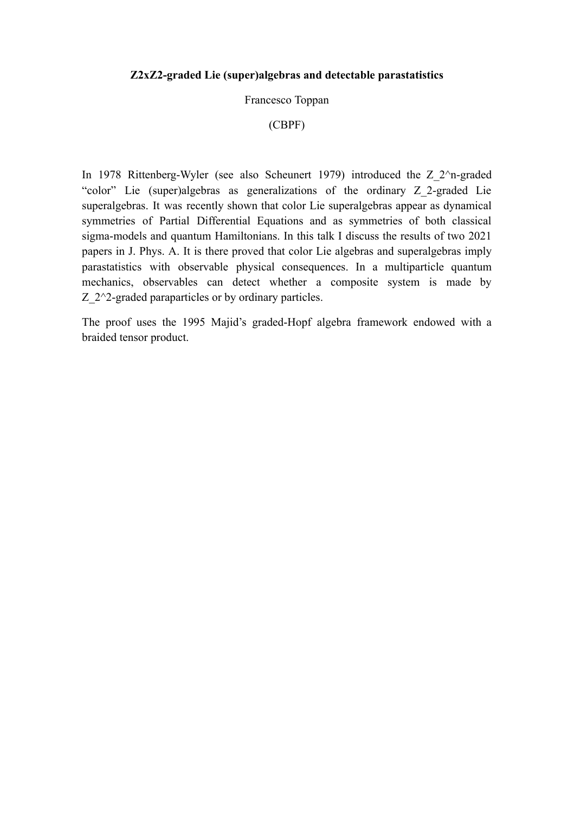#### **Z2xZ2-graded Lie (super)algebras and detectable parastatistics**

#### Francesco Toppan

## (CBPF)

In 1978 Rittenberg-Wyler (see also Scheunert 1979) introduced the Z\_2^n-graded "color" Lie (super)algebras as generalizations of the ordinary Z\_2-graded Lie superalgebras. It was recently shown that color Lie superalgebras appear as dynamical symmetries of Partial Differential Equations and as symmetries of both classical sigma-models and quantum Hamiltonians. In this talk I discuss the results of two 2021 papers in J. Phys. A. It is there proved that color Lie algebras and superalgebras imply parastatistics with observable physical consequences. In a multiparticle quantum mechanics, observables can detect whether a composite system is made by Z 2^2-graded paraparticles or by ordinary particles.

The proof uses the 1995 Majid's graded-Hopf algebra framework endowed with a braided tensor product.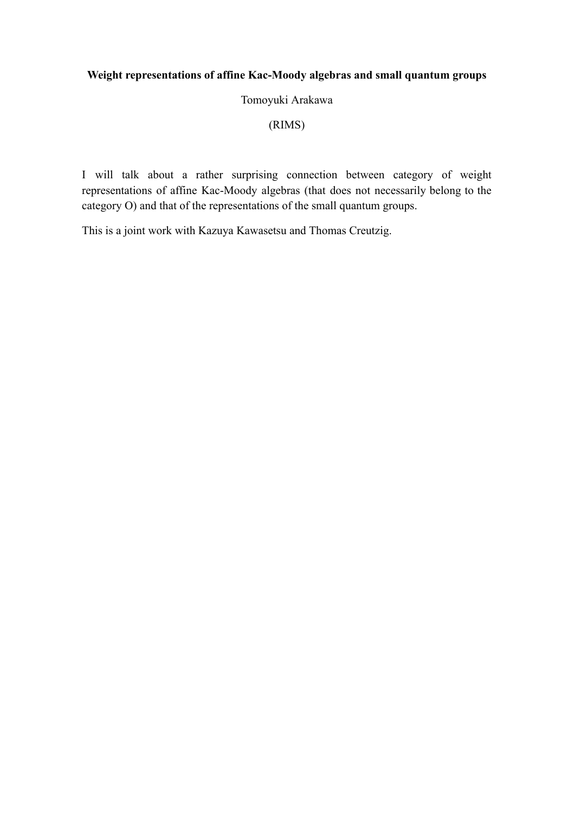# **Weight representations of affine Kac-Moody algebras and small quantum groups**

#### Tomoyuki Arakawa

(RIMS)

I will talk about a rather surprising connection between category of weight representations of affine Kac-Moody algebras (that does not necessarily belong to the category O) and that of the representations of the small quantum groups.

This is a joint work with Kazuya Kawasetsu and Thomas Creutzig.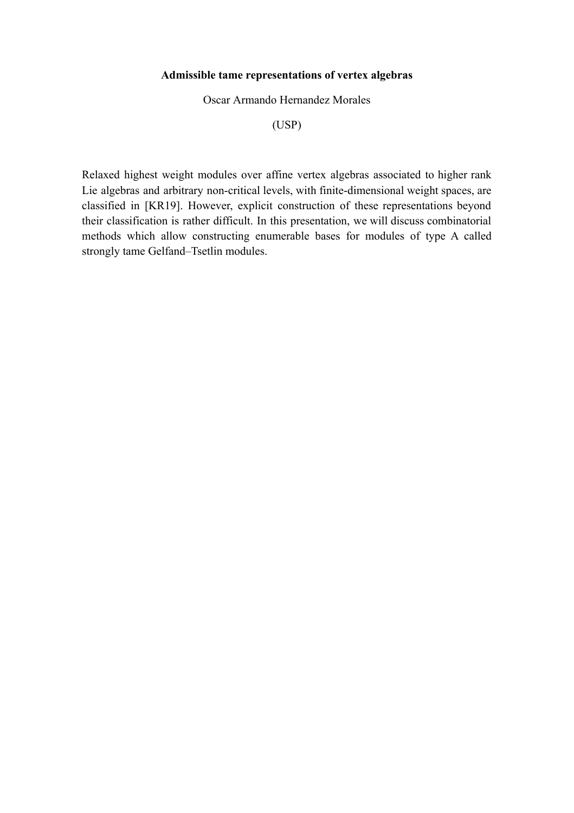#### **Admissible tame representations of vertex algebras**

Oscar Armando Hernandez Morales

(USP)

Relaxed highest weight modules over affine vertex algebras associated to higher rank Lie algebras and arbitrary non-critical levels, with finite-dimensional weight spaces, are classified in [KR19]. However, explicit construction of these representations beyond their classification is rather difficult. In this presentation, we will discuss combinatorial methods which allow constructing enumerable bases for modules of type A called strongly tame Gelfand–Tsetlin modules.